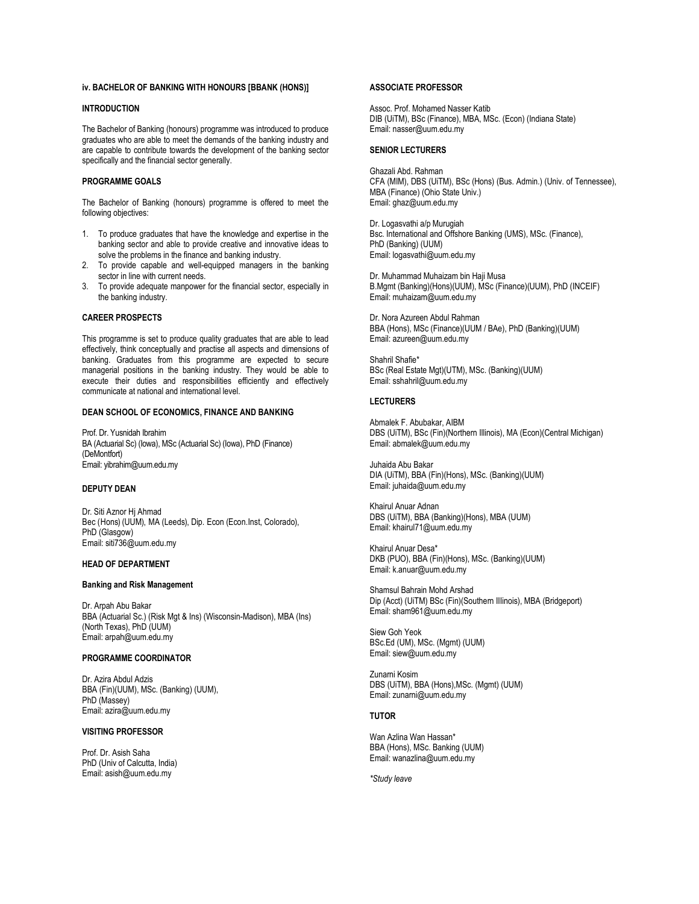### **iv. BACHELOR OF BANKING WITH HONOURS [BBANK (HONS)]**

#### **INTRODUCTION**

The Bachelor of Banking (honours) programme was introduced to produce graduates who are able to meet the demands of the banking industry and are capable to contribute towards the development of the banking sector specifically and the financial sector generally.

#### **PROGRAMME GOALS**

The Bachelor of Banking (honours) programme is offered to meet the following objectives:

- 1. To produce graduates that have the knowledge and expertise in the banking sector and able to provide creative and innovative ideas to solve the problems in the finance and banking industry.
- 2. To provide capable and well-equipped managers in the banking sector in line with current needs.
- 3. To provide adequate manpower for the financial sector, especially in the banking industry.

### **CAREER PROSPECTS**

This programme is set to produce quality graduates that are able to lead effectively, think conceptually and practise all aspects and dimensions of banking. Graduates from this programme are expected to secure managerial positions in the banking industry. They would be able to execute their duties and responsibilities efficiently and effectively communicate at national and international level.

#### **DEAN SCHOOL OF ECONOMICS, FINANCE AND BANKING**

Prof. Dr. Yusnidah Ibrahim BA (Actuarial Sc) (Iowa), MSc (Actuarial Sc) (Iowa), PhD (Finance) (DeMontfort) Email[: yibrahim@uum.edu.my](mailto:aali@uum.edu.my)

# **DEPUTY DEAN**

Dr. Siti Aznor Hj Ahmad Bec (Hons) (UUM), MA (Leeds), Dip. Econ (Econ.Inst, Colorado), PhD (Glasgow) Email[: siti736@uum.edu.my](mailto:siti736@uum.edu.my)

### **HEAD OF DEPARTMENT**

### **Banking and Risk Management**

Dr. Arpah Abu Bakar BBA (Actuarial Sc.) (Risk Mgt & Ins) (Wisconsin-Madison), MBA (Ins) (North Texas), PhD (UUM) Email: arpah@uum.edu.my

### **PROGRAMME COORDINATOR**

Dr. Azira Abdul Adzis BBA (Fin)(UUM), MSc. (Banking) (UUM), PhD (Massey) Email: azira@uum.edu.my

### **VISITING PROFESSOR**

Prof. Dr. Asish Saha PhD (Univ of Calcutta, India) Email: asish@uum.edu.my

### **ASSOCIATE PROFESSOR**

Assoc. Prof. Mohamed Nasser Katib DIB (UiTM), BSc (Finance), MBA, MSc. (Econ) (Indiana State) Email: nasser@uum.edu.my

#### **SENIOR LECTURERS**

Ghazali Abd. Rahman CFA (MIM), DBS (UiTM), BSc (Hons) (Bus. Admin.) (Univ. of Tennessee), MBA (Finance) (Ohio State Univ.) Email[: ghaz@uum.edu.my](mailto:ghaz@uum.edu.my)

Dr. Logasvathi a/p Murugiah Bsc. International and Offshore Banking (UMS), MSc. (Finance), PhD (Banking) (UUM) Email[: logasvathi@uum.edu.my](mailto:logasvathi@uum.edu.my)

Dr. Muhammad Muhaizam bin Haji Musa B.Mgmt (Banking)(Hons)(UUM), MSc (Finance)(UUM), PhD (INCEIF) Email[: muhaizam@uum.edu.my](https://uummail.uum.edu.my/OWA/redir.aspx?C=316134b06fae444581b2bc670d646f2b&URL=mailto%3amuhaizam%40uum.edu.my)

Dr. Nora Azureen Abdul Rahman BBA (Hons), MSc (Finance)(UUM / BAe), PhD (Banking)(UUM) Email: azureen@uum.edu.my

Shahril Shafie\* BSc (Real Estate Mgt)(UTM), MSc. (Banking)(UUM) Email[: sshahril@uum.edu.my](mailto:sshahril@uum.edu.my)

#### **LECTURERS**

Abmalek F. Abubakar, AIBM DBS (UiTM), BSc (Fin)(Northern Illinois), MA (Econ)(Central Michigan) Email: abmalek@uum.edu.my

Juhaida Abu Bakar DIA (UiTM), BBA (Fin)(Hons), MSc. (Banking)(UUM) Email: juhaida@uum.edu.my

Khairul Anuar Adnan DBS (UiTM), BBA (Banking)(Hons), MBA (UUM) Email: khairul71@uum.edu.my

Khairul Anuar Desa\* DKB (PUO), BBA (Fin)(Hons), MSc. (Banking)(UUM) Email: k.anuar@uum.edu.my

Shamsul Bahrain Mohd Arshad Dip (Acct) (UiTM) BSc (Fin)(Southern IIIinois), MBA (Bridgeport) Email: sham961@uum.edu.my

Siew Goh Yeok BSc.Ed (UM), MSc. (Mgmt) (UUM) Email[: siew@uum.edu.my](mailto:siew@uum.edu.my)

Zunarni Kosim DBS (UiTM), BBA (Hons),MSc. (Mgmt) (UUM) Email: zunarni@uum.edu.my

# **TUTOR**

Wan Azlina Wan Hassan\* BBA (Hons), MSc. Banking (UUM) Email: wanazlina@uum.edu.my

*\*Study leave*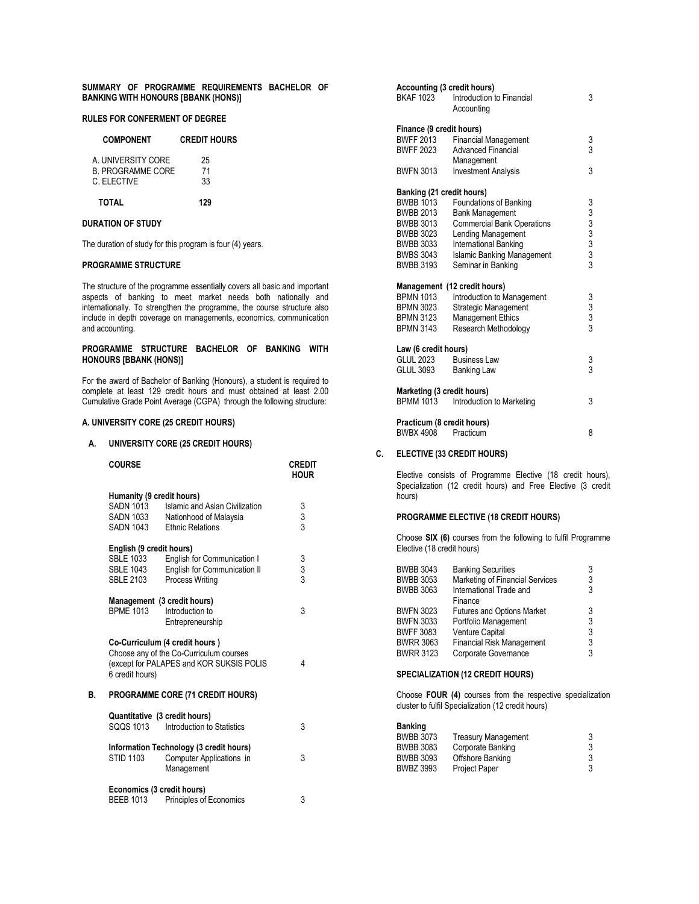### **SUMMARY OF PROGRAMME REQUIREMENTS BACHELOR OF BANKING WITH HONOURS [BBANK (HONS)]**

# **RULES FOR CONFERMENT OF DEGREE**

### **COMPONENT CREDIT HOURS**

| <b>TOTAL</b>             | 129 |
|--------------------------|-----|
| C. ELECTIVE              | 33  |
| <b>B. PROGRAMME CORE</b> | 71  |
| A. UNIVERSITY CORE       | 25  |
|                          |     |

### **DURATION OF STUDY**

The duration of study for this program is four (4) years.

### **PROGRAMME STRUCTURE**

The structure of the programme essentially covers all basic and important aspects of banking to meet market needs both nationally and internationally. To strengthen the programme, the course structure also include in depth coverage on managements, economics, communication and accounting.

#### **PROGRAMME STRUCTURE BACHELOR OF BANKING WITH HONOURS [BBANK (HONS)]**

For the award of Bachelor of Banking (Honours), a student is required to complete at least 129 credit hours and must obtained at least 2.00 Cumulative Grade Point Average (CGPA) through the following structure:

# **A. UNIVERSITY CORE (25 CREDIT HOURS)**

### **A. UNIVERSITY CORE (25 CREDIT HOURS)**

|    | <b>COURSE</b>                                                                        |                                                                                                                       | <b>CREDIT</b><br><b>HOUR</b> |
|----|--------------------------------------------------------------------------------------|-----------------------------------------------------------------------------------------------------------------------|------------------------------|
|    | Humanity (9 credit hours)<br><b>SADN 1013</b><br>SADN 1033<br><b>SADN 1043</b>       | Islamic and Asian Civilization<br>Nationhood of Malaysia<br><b>Ethnic Relations</b>                                   | 3<br>3<br>3                  |
|    | English (9 credit hours)<br><b>SBLE 1033</b><br><b>SBLE 1043</b><br><b>SBLE 2103</b> | English for Communication I<br>English for Communication II<br>Process Writing                                        | $\frac{3}{3}$                |
|    | <b>BPME 1013</b>                                                                     | Management (3 credit hours)<br>Introduction to<br>Entrepreneurship                                                    | 3                            |
|    | 6 credit hours)                                                                      | Co-Curriculum (4 credit hours)<br>Choose any of the Co-Curriculum courses<br>(except for PALAPES and KOR SUKSIS POLIS | 4                            |
| В. |                                                                                      | <b>PROGRAMME CORE (71 CREDIT HOURS)</b>                                                                               |                              |
|    |                                                                                      | Quantitative (3 credit hours)<br>SQQS 1013 Introduction to Statistics                                                 | 3                            |
|    | <b>STID 1103</b>                                                                     | Information Technology (3 credit hours)<br>Computer Applications in<br>Management                                     | 3                            |
|    | Economics (3 credit hours)<br><b>BEEB 1013</b>                                       | <b>Principles of Economics</b>                                                                                        | 3                            |

| Accounting (3 credit hours)<br><b>BKAF 1023</b><br>Introduction to Financial<br>Accounting |                                   |               |  |
|--------------------------------------------------------------------------------------------|-----------------------------------|---------------|--|
| Finance (9 credit hours)                                                                   |                                   |               |  |
| <b>BWFF 2013</b>                                                                           | <b>Financial Management</b>       | 3             |  |
| <b>BWFF 2023</b>                                                                           | <b>Advanced Financial</b>         | 3             |  |
|                                                                                            | Management                        |               |  |
| <b>BWFN 3013</b>                                                                           | <b>Investment Analysis</b>        | 3             |  |
| Banking (21 credit hours)                                                                  |                                   |               |  |
| <b>BWBB 1013</b>                                                                           | Foundations of Banking            |               |  |
| <b>BWBB 2013</b>                                                                           | <b>Bank Management</b>            |               |  |
| <b>BWBB 3013</b>                                                                           | <b>Commercial Bank Operations</b> |               |  |
| <b>BWBB 3023</b>                                                                           | Lending Management                |               |  |
| <b>BWBB 3033</b>                                                                           | International Banking             | 333333333     |  |
| <b>BWBS 3043</b>                                                                           | <b>Islamic Banking Management</b> |               |  |
| <b>BWBB 3193</b>                                                                           | Seminar in Banking                |               |  |
|                                                                                            | Management (12 credit hours)      |               |  |
| <b>BPMN 1013</b>                                                                           | Introduction to Management        | 3             |  |
| <b>BPMN 3023</b>                                                                           | Strategic Management              | $\frac{3}{3}$ |  |
| <b>BPMN 3123</b>                                                                           | <b>Management Ethics</b>          |               |  |
| <b>BPMN 3143</b>                                                                           | Research Methodology              |               |  |
| Law (6 credit hours)                                                                       |                                   |               |  |
| <b>GLUL 2023</b>                                                                           | <b>Business Law</b>               | 3<br>3        |  |
| <b>GLUL 3093</b>                                                                           | <b>Banking Law</b>                |               |  |
| Marketing (3 credit hours)                                                                 |                                   |               |  |
| <b>BPMM 1013</b>                                                                           | Introduction to Marketing         | 3             |  |
| Practicum (8 credit hours)                                                                 |                                   |               |  |
| <b>BWBX 4908</b>                                                                           | Practicum                         | 8             |  |

# **C. ELECTIVE (33 CREDIT HOURS)**

Elective consists of Programme Elective (18 credit hours), Specialization (12 credit hours) and Free Elective (3 credit hours)

# **PROGRAMME ELECTIVE (18 CREDIT HOURS)**

Choose **SIX (6)** courses from the following to fulfil Programme Elective (18 credit hours)

| <b>BWBB 3043</b> | <b>Banking Securities</b>         | 3 |
|------------------|-----------------------------------|---|
| BWBB 3053        | Marketing of Financial Services   | 3 |
| <b>BWBB 3063</b> | International Trade and           | 3 |
|                  | Finance                           |   |
| <b>BWFN 3023</b> | <b>Futures and Options Market</b> | 3 |
| BWFN 3033        | Portfolio Management              | 3 |
| BWFF 3083        | <b>Venture Capital</b>            | 3 |
| BWRR 3063        | <b>Financial Risk Management</b>  | 3 |
| <b>BWRR 3123</b> | Corporate Governance              | 3 |
|                  |                                   |   |

# **SPECIALIZATION (12 CREDIT HOURS)**

Choose **FOUR (4)** courses from the respective specialization cluster to fulfil Specialization (12 credit hours)

| <b>Banking</b>   |                            |   |
|------------------|----------------------------|---|
| <b>BWBB 3073</b> | <b>Treasury Management</b> | 3 |
| <b>BWBB 3083</b> | Corporate Banking          | 3 |
| <b>BWBB 3093</b> | Offshore Banking           | 3 |
| <b>BWBZ 3993</b> | <b>Project Paper</b>       | 3 |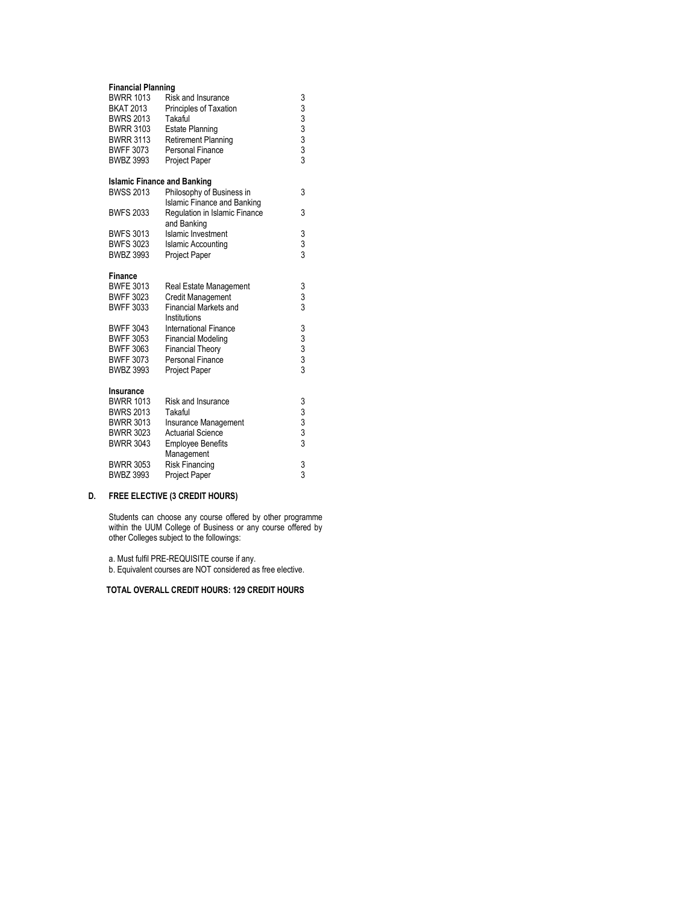| <b>Financial Planning</b>          |                                    |                                                |  |
|------------------------------------|------------------------------------|------------------------------------------------|--|
| <b>BWRR 1013</b>                   | Risk and Insurance                 |                                                |  |
| <b>BKAT 2013</b>                   | Principles of Taxation             |                                                |  |
| <b>BWRS 2013</b>                   | Takaful                            |                                                |  |
| <b>BWRR 3103</b>                   | <b>Estate Planning</b>             |                                                |  |
| <b>BWRR 3113</b>                   | <b>Retirement Planning</b>         |                                                |  |
| <b>BWFF 3073</b>                   | <b>Personal Finance</b>            | 333333333                                      |  |
| <b>BWBZ 3993</b>                   | Project Paper                      |                                                |  |
| <b>Islamic Finance and Banking</b> |                                    |                                                |  |
| <b>BWSS 2013</b>                   | Philosophy of Business in          | 3                                              |  |
|                                    | <b>Islamic Finance and Banking</b> |                                                |  |
| <b>BWFS 2033</b>                   | Regulation in Islamic Finance      | 3                                              |  |
|                                    | and Banking                        |                                                |  |
| <b>BWFS 3013</b>                   | <b>Islamic Investment</b>          |                                                |  |
| <b>BWFS 3023</b>                   | <b>Islamic Accounting</b>          | $\frac{3}{3}$                                  |  |
| <b>BWBZ 3993</b>                   | Project Paper                      |                                                |  |
| <b>Finance</b>                     |                                    |                                                |  |
| <b>BWFE 3013</b>                   | Real Estate Management             |                                                |  |
| <b>BWFF 3023</b>                   | <b>Credit Management</b>           | 3<br>3<br>3                                    |  |
| <b>BWFF 3033</b>                   | <b>Financial Markets and</b>       |                                                |  |
|                                    | Institutions                       |                                                |  |
| <b>BWFF 3043</b>                   | <b>International Finance</b>       | $\begin{array}{c}\n 3 \\ 3 \\ 3\n \end{array}$ |  |
| <b>BWFF 3053</b>                   | <b>Financial Modeling</b>          |                                                |  |
| <b>BWFF 3063</b>                   | <b>Financial Theory</b>            |                                                |  |
| <b>BWFF 3073</b>                   | <b>Personal Finance</b>            |                                                |  |
| <b>BWBZ 3993</b>                   | <b>Project Paper</b>               |                                                |  |
| Insurance                          |                                    |                                                |  |
| <b>BWRR 1013</b>                   | Risk and Insurance                 | 33333                                          |  |
| <b>BWRS 2013</b>                   | Takaful                            |                                                |  |
| <b>BWRR 3013</b>                   | Insurance Management               |                                                |  |
| <b>BWRR 3023</b>                   | <b>Actuarial Science</b>           |                                                |  |
| <b>BWRR 3043</b>                   | <b>Employee Benefits</b>           |                                                |  |
|                                    | Management                         |                                                |  |
| <b>BWRR 3053</b>                   | <b>Risk Financing</b>              | 3<br>3                                         |  |
| <b>BWBZ 3993</b>                   | <b>Project Paper</b>               |                                                |  |

# **D. FREE ELECTIVE (3 CREDIT HOURS)**

Students can choose any course offered by other programme within the UUM College of Business or any course offered by other Colleges subject to the followings:

a. Must fulfil PRE-REQUISITE course if any. b. Equivalent courses are NOT considered as free elective.

# **TOTAL OVERALL CREDIT HOURS: 129 CREDIT HOURS**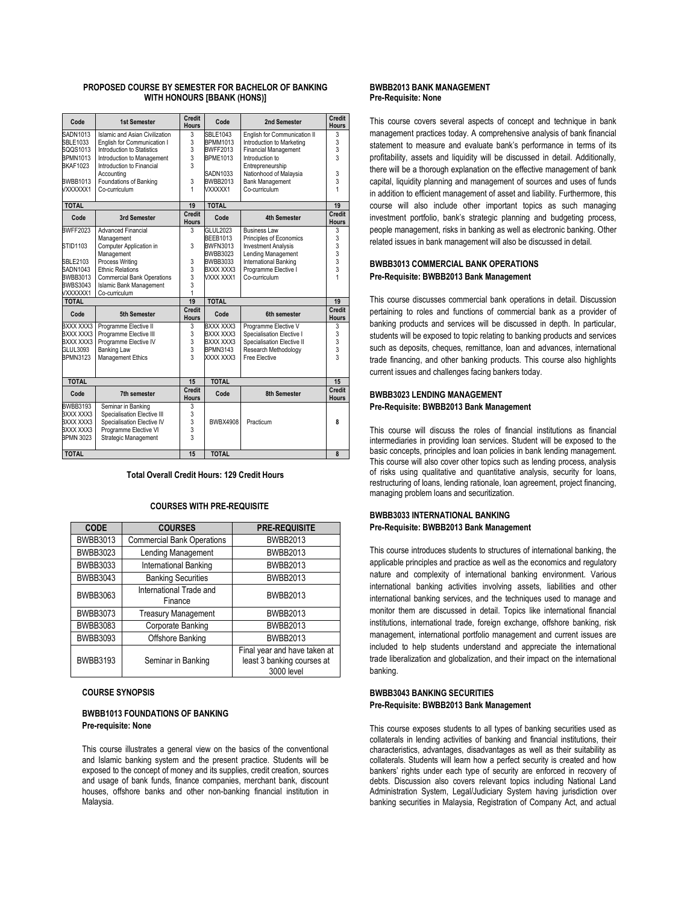### **PROPOSED COURSE BY SEMESTER FOR BACHELOR OF BANKING WITH HONOURS [BBANK (HONS)]**

| Code             | 1st Semester                      | Credit<br><b>Hours</b>        | Code            | 2nd Semester                 | <b>Credit</b><br><b>Hours</b> |
|------------------|-----------------------------------|-------------------------------|-----------------|------------------------------|-------------------------------|
| SADN1013         | Islamic and Asian Civilization    | 3                             | <b>SBLE1043</b> | English for Communication II | 3                             |
| SBLE1033         | English for Communication I       | 3                             | <b>BPMM1013</b> | Introduction to Marketing    | 3                             |
| SQQS1013         | Introduction to Statistics        | 3                             | <b>BWFF2013</b> | <b>Financial Management</b>  | 3                             |
| <b>BPMN1013</b>  | Introduction to Management        | 3                             | <b>BPME1013</b> | Introduction to              | 3                             |
| <b>BKAF1023</b>  | Introduction to Financial         | 3                             |                 | Entrepreneurship             |                               |
|                  | Accountina                        |                               | SADN1033        | Nationhood of Malaysia       | 3                             |
| <b>BWBB1013</b>  | Foundations of Banking            | 3                             | <b>BWBB2013</b> | <b>Bank Management</b>       | 3                             |
| VXXXXXX1         | Co-curriculum                     | 1                             | VXXXXX1         | Co-curriculum                | 1                             |
| <b>TOTAL</b>     |                                   | 19                            | <b>TOTAL</b>    |                              | 19                            |
| Code             | 3rd Semester                      | Credit<br><b>Hours</b>        | Code            | <b>4th Semester</b>          | Credit<br><b>Hours</b>        |
| <b>BWFF2023</b>  | <b>Advanced Financial</b>         | 3                             | GLUL2023        | <b>Business Law</b>          | 3                             |
|                  | Management                        |                               | <b>BEEB1013</b> | Principles of Economics      | 3                             |
| STID1103         | Computer Application in           | 3                             | <b>BWFN3013</b> | <b>Investment Analysis</b>   | 3                             |
|                  | Management                        |                               | BWBB3023        | <b>Lending Management</b>    | 3                             |
| <b>SBLE2103</b>  | Process Writing                   | 3                             | BWBB3033        | <b>International Banking</b> | 3                             |
| SADN1043         | <b>Ethnic Relations</b>           | 3                             | BXXX XXX3       | Programme Elective I         | 3                             |
| BWBB3013         | <b>Commercial Bank Operations</b> | 3                             | VXXX XXX1       | Co-curriculum                |                               |
| <b>BWBS3043</b>  | <b>Islamic Bank Management</b>    | 3                             |                 |                              |                               |
| VXXXXXX1         | Co-curriculum                     | 1                             |                 |                              |                               |
| <b>TOTAL</b>     |                                   | 19                            | <b>TOTAL</b>    |                              | 19                            |
| Code             | 5th Semester                      | <b>Credit</b><br><b>Hours</b> | Code            | 6th semester                 | <b>Credit</b><br><b>Hours</b> |
| BXXX XXX3        | Programme Elective II             | 3                             | BXXX XXX3       | Programme Elective V         | 3                             |
| BXXX XXX3        | Programme Elective III            | 3                             | BXXX XXX3       | Specialisation Elective I    | 3                             |
| BXXX XXX3        | Programme Elective IV             | 3                             | BXXX XXX3       | Specialisation Elective II   | 3                             |
| GLUL3093         | <b>Banking Law</b>                | 3                             | <b>BPMN3143</b> | Research Methodology         | $\overline{3}$                |
| <b>BPMN3123</b>  | <b>Management Ethics</b>          | $\overline{3}$                | XXXX XXX3       | Free Elective                | $\overline{3}$                |
| <b>TOTAL</b>     |                                   | 15                            | <b>TOTAL</b>    |                              | 15                            |
|                  |                                   | Credit                        |                 |                              | Credit                        |
| Code             | 7th semester                      | <b>Hours</b>                  | Code            | 8th Semester                 | <b>Hours</b>                  |
| <b>BWBB3193</b>  | Seminar in Banking                | 3                             |                 |                              |                               |
| BXXX XXX3        | Specialisation Elective III       | 3                             |                 |                              |                               |
| BXXX XXX3        | Specialisation Elective IV        | 3                             | <b>BWBX4908</b> | Practicum                    | 8                             |
| BXXX XXX3        | Programme Elective VI             | 3                             |                 |                              |                               |
| <b>BPMN 3023</b> | Strategic Management              | 3                             |                 |                              |                               |
| <b>TOTAL</b>     |                                   | 15                            | <b>TOTAL</b>    |                              | 8                             |

### **Total Overall Credit Hours: 129 Credit Hours**

#### **COURSES WITH PRE-REQUISITE**

| <b>CODE</b>     | <b>COURSES</b>                     | <b>PRE-REQUISITE</b>                                                     |
|-----------------|------------------------------------|--------------------------------------------------------------------------|
| BWBB3013        | <b>Commercial Bank Operations</b>  | <b>BWBB2013</b>                                                          |
| <b>BWBB3023</b> | Lending Management                 | <b>BWBB2013</b>                                                          |
| <b>BWBB3033</b> | International Banking              | <b>BWBB2013</b>                                                          |
| <b>BWBB3043</b> | <b>Banking Securities</b>          | <b>BWBB2013</b>                                                          |
| BWBB3063        | International Trade and<br>Finance | <b>BWBB2013</b>                                                          |
| <b>BWBB3073</b> | <b>Treasury Management</b>         | <b>BWBB2013</b>                                                          |
| <b>BWBB3083</b> | Corporate Banking                  | <b>BWBB2013</b>                                                          |
| <b>BWBB3093</b> | Offshore Banking                   | <b>BWBB2013</b>                                                          |
| <b>BWBB3193</b> | Seminar in Banking                 | Final year and have taken at<br>least 3 banking courses at<br>3000 level |

### **COURSE SYNOPSIS**

### **BWBB1013 FOUNDATIONS OF BANKING Pre-requisite: None**

This course illustrates a general view on the basics of the conventional and Islamic banking system and the present practice. Students will be exposed to the concept of money and its supplies, credit creation, sources and usage of bank funds, finance companies, merchant bank, discount houses, offshore banks and other non-banking financial institution in Malaysia.

### **BWBB2013 BANK MANAGEMENT Pre-Requisite: None**

This course covers several aspects of concept and technique in bank management practices today. A comprehensive analysis of bank financial statement to measure and evaluate bank's performance in terms of its profitability, assets and liquidity will be discussed in detail. Additionally, there will be a thorough explanation on the effective management of bank capital, liquidity planning and management of sources and uses of funds in addition to efficient management of asset and liability. Furthermore, this course will also include other important topics as such managing investment portfolio, bank's strategic planning and budgeting process, people management, risks in banking as well as electronic banking. Other related issues in bank management will also be discussed in detail.

### **BWBB3013 COMMERCIAL BANK OPERATIONS Pre-Requisite: BWBB2013 Bank Management**

This course discusses commercial bank operations in detail. Discussion pertaining to roles and functions of commercial bank as a provider of banking products and services will be discussed in depth. In particular, students will be exposed to topic relating to banking products and services such as deposits, cheques, remittance, loan and advances, international trade financing, and other banking products. This course also highlights current issues and challenges facing bankers today.

# **BWBB3023 LENDING MANAGEMENT Pre-Requisite: BWBB2013 Bank Management**

This course will discuss the roles of financial institutions as financial intermediaries in providing loan services. Student will be exposed to the basic concepts, principles and loan policies in bank lending management. This course will also cover other topics such as lending process, analysis of risks using qualitative and quantitative analysis, security for loans, restructuring of loans, lending rationale, loan agreement, project financing, managing problem loans and securitization.

# **BWBB3033 INTERNATIONAL BANKING Pre-Requisite: BWBB2013 Bank Management**

This course introduces students to structures of international banking, the applicable principles and practice as well as the economics and regulatory nature and complexity of international banking environment. Various international banking activities involving assets, liabilities and other international banking services, and the techniques used to manage and monitor them are discussed in detail. Topics like international financial institutions, international trade, foreign exchange, offshore banking, risk management, international portfolio management and current issues are included to help students understand and appreciate the international trade liberalization and globalization, and their impact on the international banking.

### **BWBB3043 BANKING SECURITIES Pre-Requisite: BWBB2013 Bank Management**

This course exposes students to all types of banking securities used as collaterals in lending activities of banking and financial institutions, their characteristics, advantages, disadvantages as well as their suitability as collaterals. Students will learn how a perfect security is created and how bankers' rights under each type of security are enforced in recovery of debts. Discussion also covers relevant topics including National Land Administration System, Legal/Judiciary System having jurisdiction over banking securities in Malaysia, Registration of Company Act, and actual